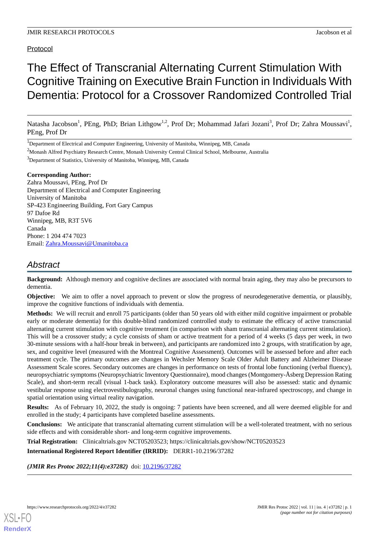# Protocol

# The Effect of Transcranial Alternating Current Stimulation With Cognitive Training on Executive Brain Function in Individuals With Dementia: Protocol for a Crossover Randomized Controlled Trial

Natasha Jacobson<sup>1</sup>, PEng, PhD; Brian Lithgow<sup>1,2</sup>, Prof Dr; Mohammad Jafari Jozani<sup>3</sup>, Prof Dr; Zahra Moussavi<sup>1</sup>, PEng, Prof Dr

<sup>3</sup>Department of Statistics, University of Manitoba, Winnipeg, MB, Canada

#### **Corresponding Author:**

Zahra Moussavi, PEng, Prof Dr Department of Electrical and Computer Engineering University of Manitoba SP-423 Engineering Building, Fort Gary Campus 97 Dafoe Rd Winnipeg, MB, R3T 5V6 Canada Phone: 1 204 474 7023 Email: [Zahra.Moussavi@Umanitoba.ca](mailto:Zahra.Moussavi@Umanitoba.ca)

# *Abstract*

**Background:** Although memory and cognitive declines are associated with normal brain aging, they may also be precursors to dementia.

**Objective:** We aim to offer a novel approach to prevent or slow the progress of neurodegenerative dementia, or plausibly, improve the cognitive functions of individuals with dementia.

**Methods:** We will recruit and enroll 75 participants (older than 50 years old with either mild cognitive impairment or probable early or moderate dementia) for this double-blind randomized controlled study to estimate the efficacy of active transcranial alternating current stimulation with cognitive treatment (in comparison with sham transcranial alternating current stimulation). This will be a crossover study; a cycle consists of sham or active treatment for a period of 4 weeks (5 days per week, in two 30-minute sessions with a half-hour break in between), and participants are randomized into 2 groups, with stratification by age, sex, and cognitive level (measured with the Montreal Cognitive Assessment). Outcomes will be assessed before and after each treatment cycle. The primary outcomes are changes in Wechsler Memory Scale Older Adult Battery and Alzheimer Disease Assessment Scale scores. Secondary outcomes are changes in performance on tests of frontal lobe functioning (verbal fluency), neuropsychiatric symptoms (Neuropsychiatric Inventory Questionnaire), mood changes (Montgomery-Åsberg Depression Rating Scale), and short-term recall (visual 1-back task). Exploratory outcome measures will also be assessed: static and dynamic vestibular response using electrovestibulography, neuronal changes using functional near-infrared spectroscopy, and change in spatial orientation using virtual reality navigation.

**Results:** As of February 10, 2022, the study is ongoing: 7 patients have been screened, and all were deemed eligible for and enrolled in the study; 4 participants have completed baseline assessments.

**Conclusions:** We anticipate that transcranial alternating current stimulation will be a well-tolerated treatment, with no serious side effects and with considerable short- and long-term cognitive improvements.

**Trial Registration:** Clinicaltrials.gov NCT05203523; https://clinicaltrials.gov/show/NCT05203523 **International Registered Report Identifier (IRRID):** DERR1-10.2196/37282

(JMIR Res Protoc 2022;11(4):e37282) doi: [10.2196/37282](http://dx.doi.org/10.2196/37282)

**[RenderX](http://www.renderx.com/)**

<sup>&</sup>lt;sup>1</sup>Department of Electrical and Computer Engineering, University of Manitoba, Winnipeg, MB, Canada

<sup>2</sup>Monash Alfred Psychiatry Research Centre, Monash University Central Clinical School, Melbourne, Australia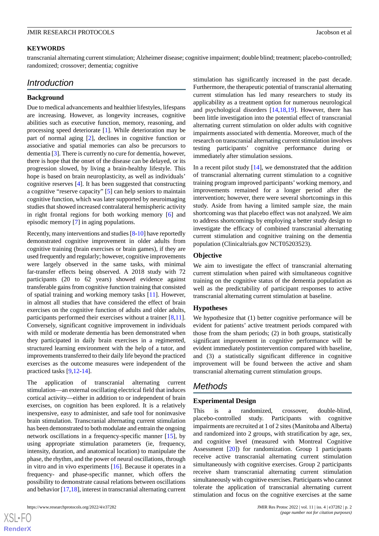#### **KEYWORDS**

transcranial alternating current stimulation; Alzheimer disease; cognitive impairment; double blind; treatment; placebo-controlled; randomized; crossover; dementia; cognitive

# *Introduction*

#### **Background**

Due to medical advancements and healthier lifestyles, lifespans are increasing. However, as longevity increases, cognitive abilities such as executive function, memory, reasoning, and processing speed deteriorate [[1\]](#page-6-0). While deterioration may be part of normal aging [[2\]](#page-6-1), declines in cognitive function or associative and spatial memories can also be precursors to dementia [\[3\]](#page-6-2). There is currently no cure for dementia, however, there is hope that the onset of the disease can be delayed, or its progression slowed, by living a brain-healthy lifestyle. This hope is based on brain neuroplasticity, as well as individuals' cognitive reserves [\[4](#page-6-3)]. It has been suggested that constructing a cognitive "reserve capacity" [\[5](#page-6-4)] can help seniors to maintain cognitive function, which was later supported by neuroimaging studies that showed increased contralateral hemispheric activity in right frontal regions for both working memory [[6\]](#page-6-5) and episodic memory [[7](#page-6-6)] in aging populations.

Recently, many interventions and studies [\[8](#page-6-7)-[10\]](#page-6-8) have reportedly demonstrated cognitive improvement in older adults from cognitive training (brain exercises or brain games), if they are used frequently and regularly; however, cognitive improvements were largely observed in the same tasks, with minimal far-transfer effects being observed. A 2018 study with 72 participants (20 to 62 years) showed evidence against transferable gains from cognitive function training that consisted of spatial training and working memory tasks [\[11](#page-6-9)]. However, in almost all studies that have considered the effect of brain exercises on the cognitive function of adults and older adults, participants performed their exercises without a trainer [\[8](#page-6-7),[11\]](#page-6-9). Conversely, significant cognitive improvement in individuals with mild or moderate dementia has been demonstrated when they participated in daily brain exercises in a regimented, structured learning environment with the help of a tutor, and improvements transferred to their daily life beyond the practiced exercises as the outcome measures were independent of the practiced tasks [[9](#page-6-10),[12](#page-6-11)[-14](#page-6-12)].

The application of transcranial alternating current stimulation—an external oscillating electrical field that induces cortical activity—either in addition to or independent of brain exercises, on cognition has been explored. It is a relatively inexpensive, easy to administer, and safe tool for noninvasive brain stimulation. Transcranial alternating current stimulation has been demonstrated to both modulate and entrain the ongoing network oscillations in a frequency-specific manner [\[15](#page-6-13)], by using appropriate stimulation parameters (ie, frequency, intensity, duration, and anatomical location) to manipulate the phase, the rhythm, and the power of neural oscillations, through in vitro and in vivo experiments [[16\]](#page-6-14). Because it operates in a frequency- and phase-specific manner, which offers the possibility to demonstrate causal relations between oscillations and behavior [[17](#page-6-15)[,18](#page-7-0)], interest in transcranial alternating current

stimulation has significantly increased in the past decade. Furthermore, the therapeutic potential of transcranial alternating current stimulation has led many researchers to study its applicability as a treatment option for numerous neurological and psychological disorders [\[14](#page-6-12),[18,](#page-7-0)[19](#page-7-1)]. However, there has been little investigation into the potential effect of transcranial alternating current stimulation on older adults with cognitive impairments associated with dementia. Moreover, much of the research on transcranial alternating current stimulation involves testing participants' cognitive performance during or immediately after stimulation sessions.

In a recent pilot study  $[14]$  $[14]$ , we demonstrated that the addition of transcranial alternating current stimulation to a cognitive training program improved participants' working memory, and improvements remained for a longer period after the intervention; however, there were several shortcomings in this study. Aside from having a limited sample size, the main shortcoming was that placebo effect was not analyzed. We aim to address shortcomings by employing a better study design to investigate the efficacy of combined transcranial alternating current stimulation and cognitive training on the dementia population (Clinicaltrials.gov NCT05203523).

#### **Objective**

We aim to investigate the effect of transcranial alternating current stimulation when paired with simultaneous cognitive training on the cognitive status of the dementia population as well as the predictability of participant responses to active transcranial alternating current stimulation at baseline.

#### **Hypotheses**

We hypothesize that (1) better cognitive performance will be evident for patients' active treatment periods compared with those from the sham periods; (2) in both groups, statistically significant improvement in cognitive performance will be evident immediately postintervention compared with baseline, and (3) a statistically significant difference in cognitive improvement will be found between the active and sham transcranial alternating current stimulation groups.

# *Methods*

#### **Experimental Design**

This is a randomized, crossover, double-blind, placebo-controlled study. Participants with cognitive impairments are recruited at 1 of 2 sites (Manitoba and Alberta) and randomized into 2 groups, with stratification by age, sex, and cognitive level (measured with Montreal Cognitive Assessment [[20\]](#page-7-2)) for randomization. Group 1 participants receive active transcranial alternating current stimulation simultaneously with cognitive exercises. Group 2 participants receive sham transcranial alternating current stimulation simultaneously with cognitive exercises. Participants who cannot tolerate the application of transcranial alternating current stimulation and focus on the cognitive exercises at the same

[XSL](http://www.w3.org/Style/XSL)•FO **[RenderX](http://www.renderx.com/)**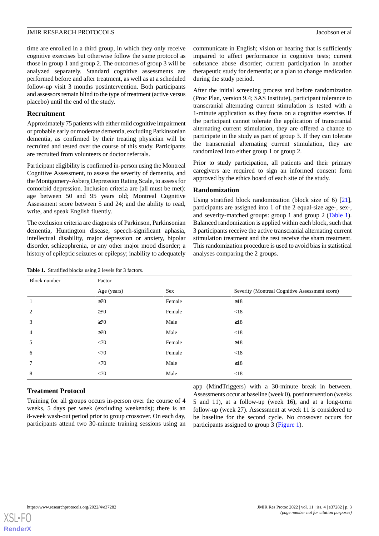time are enrolled in a third group, in which they only receive cognitive exercises but otherwise follow the same protocol as those in group 1 and group 2. The outcomes of group 3 will be analyzed separately. Standard cognitive assessments are performed before and after treatment, as well as at a scheduled follow-up visit 3 months postintervention. Both participants and assessors remain blind to the type of treatment (active versus placebo) until the end of the study.

#### **Recruitment**

Approximately 75 patients with either mild cognitive impairment or probable early or moderate dementia, excluding Parkinsonian dementia, as confirmed by their treating physician will be recruited and tested over the course of this study. Participants are recruited from volunteers or doctor referrals.

Participant eligibility is confirmed in-person using the Montreal Cognitive Assessment, to assess the severity of dementia, and the Montgomery-Åsberg Depression Rating Scale, to assess for comorbid depression. Inclusion criteria are (all must be met): age between 50 and 95 years old; Montreal Cognitive Assessment score between 5 and 24; and the ability to read, write, and speak English fluently.

<span id="page-2-0"></span>The exclusion criteria are diagnosis of Parkinson, Parkinsonian dementia, Huntington disease, speech-significant aphasia, intellectual disability, major depression or anxiety, bipolar disorder, schizophrenia, or any other major mood disorder; a history of epileptic seizures or epilepsy; inability to adequately

communicate in English; vision or hearing that is sufficiently impaired to affect performance in cognitive tests; current substance abuse disorder; current participation in another therapeutic study for dementia; or a plan to change medication during the study period.

After the initial screening process and before randomization (Proc Plan, version 9.4; SAS Institute), participant tolerance to transcranial alternating current stimulation is tested with a 1-minute application as they focus on a cognitive exercise. If the participant cannot tolerate the application of transcranial alternating current stimulation, they are offered a chance to participate in the study as part of group 3. If they can tolerate the transcranial alternating current stimulation, they are randomized into either group 1 or group 2.

Prior to study participation, all patients and their primary caregivers are required to sign an informed consent form approved by the ethics board of each site of the study.

#### **Randomization**

Using stratified block randomization (block size of 6) [[21\]](#page-7-3), participants are assigned into 1 of the 2 equal-size age-, sex-, and severity-matched groups: group 1 and group 2 ([Table 1\)](#page-2-0). Balanced randomization is applied within each block, such that 3 participants receive the active transcranial alternating current stimulation treatment and the rest receive the sham treatment. This randomization procedure is used to avoid bias in statistical analyses comparing the 2 groups.

| Block number   | Factor      |        |                                                |
|----------------|-------------|--------|------------------------------------------------|
|                | Age (years) | Sex    | Severity (Montreal Cognitive Assessment score) |
|                | $\geq 70$   | Female | $\geq$ 18                                      |
| 2              | $\geq 70$   | Female | < 18                                           |
| 3              | $\geq 70$   | Male   | $\geq$ 18                                      |
| $\overline{4}$ | $\geq 70$   | Male   | < 18                                           |
| 5              | <70         | Female | $\geq$ 18                                      |
| 6              | <70         | Female | < 18                                           |
| 7              | <70         | Male   | $\geq$ 18                                      |
| 8              | <70         | Male   | < 18                                           |

**Table 1.** Stratified blocks using 2 levels for 3 factors.

# **Treatment Protocol**

Training for all groups occurs in-person over the course of 4 weeks, 5 days per week (excluding weekends); there is an 8-week wash-out period prior to group crossover. On each day, participants attend two 30-minute training sessions using an

app (MindTriggers) with a 30-minute break in between. Assessments occur at baseline (week 0), postintervention (weeks 5 and 11), at a follow-up (week 16), and at a long-term follow-up (week 27). Assessment at week 11 is considered to be baseline for the second cycle. No crossover occurs for participants assigned to group 3 ([Figure 1](#page-3-0)).

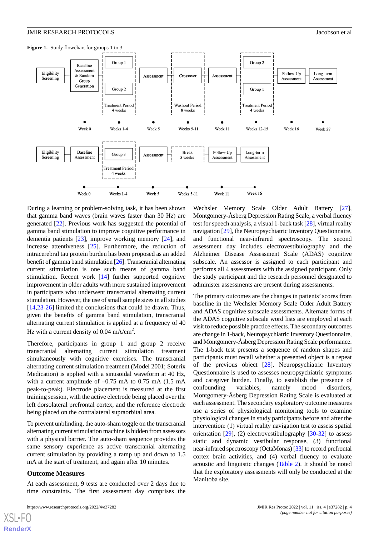<span id="page-3-0"></span>



During a learning or problem-solving task, it has been shown that gamma band waves (brain waves faster than 30 Hz) are generated [\[22](#page-7-4)]. Previous work has suggested the potential of gamma band stimulation to improve cognitive performance in dementia patients [[23\]](#page-7-5), improve working memory [\[24](#page-7-6)], and increase attentiveness [[25\]](#page-7-7). Furthermore, the reduction of intracerebral tau protein burden has been proposed as an added benefit of gamma band stimulation [\[26\]](#page-7-8). Transcranial alternating current stimulation is one such means of gamma band stimulation. Recent work [\[14](#page-6-12)] further supported cognitive improvement in older adults with more sustained improvement in participants who underwent transcranial alternating current stimulation. However, the use of small sample sizes in all studies [[14](#page-6-12)[,23](#page-7-5)-[26\]](#page-7-8) limited the conclusions that could be drawn. Thus, given the benefits of gamma band stimulation, transcranial alternating current stimulation is applied at a frequency of 40 Hz with a current density of 0.04 mA/cm<sup>2</sup>.

Therefore, participants in group 1 and group 2 receive transcranial alternating current stimulation treatment simultaneously with cognitive exercises. The transcranial alternating current stimulation treatment (Model 2001; Soterix Medication) is applied with a sinusoidal waveform at 40 Hz, with a current amplitude of  $-0.75$  mA to 0.75 mA (1.5 mA) peak-to-peak). Electrode placement is measured at the first training session, with the active electrode being placed over the left dorsolateral prefrontal cortex, and the reference electrode being placed on the contralateral supraorbital area.

To prevent unblinding, the auto-sham toggle on the transcranial alternating current stimulation machine is hidden from assessors with a physical barrier. The auto-sham sequence provides the same sensory experience as active transcranial alternating current stimulation by providing a ramp up and down to 1.5 mA at the start of treatment, and again after 10 minutes.

#### **Outcome Measures**

[XSL](http://www.w3.org/Style/XSL)•FO **[RenderX](http://www.renderx.com/)**

At each assessment, 9 tests are conducted over 2 days due to time constraints. The first assessment day comprises the

Wechsler Memory Scale Older Adult Battery [[27\]](#page-7-9), Montgomery-Åsberg Depression Rating Scale, a verbal fluency test for speech analysis, a visual 1-back task [\[28](#page-7-10)], virtual reality navigation [[29\]](#page-7-11), the Neuropsychiatric Inventory Questionnaire, and functional near-infrared spectroscopy. The second assessment day includes electrovestibulography and the Alzheimer Disease Assessment Scale (ADAS) cognitive subscale. An assessor is assigned to each participant and performs all 4 assessments with the assigned participant. Only the study participant and the research personnel designated to administer assessments are present during assessments.

The primary outcomes are the changes in patients' scores from baseline in the Wechsler Memory Scale Older Adult Battery and ADAS cognitive subscale assessments. Alternate forms of the ADAS cognitive subscale word lists are employed at each visit to reduce possible practice effects. The secondary outcomes are change in 1-back, Neuropsychiatric Inventory Questionnaire, and Montgomery-Åsberg Depression Rating Scale performance. The 1-back test presents a sequence of random shapes and participants must recall whether a presented object is a repeat of the previous object [\[28](#page-7-10)]. Neuropsychiatric Inventory Questionnaire is used to assesses neuropsychiatric symptoms and caregiver burden. Finally, to establish the presence of confounding variables, namely mood disorders, Montgomery-Åsberg Depression Rating Scale is evaluated at each assessment. The secondary exploratory outcome measures use a series of physiological monitoring tools to examine physiological changes in study participants before and after the intervention: (1) virtual reality navigation test to assess spatial orientation  $[29]$  $[29]$ ,  $(2)$  electrovestibulography  $[30-32]$  $[30-32]$  $[30-32]$  to assess static and dynamic vestibular response, (3) functional near-infrared spectroscopy (OctaMonas) [\[33\]](#page-7-14) to record prefrontal cortex brain activities, and (4) verbal fluency to evaluate acoustic and linguistic changes ([Table 2](#page-4-0)). It should be noted that the exploratory assessments will only be conducted at the Manitoba site.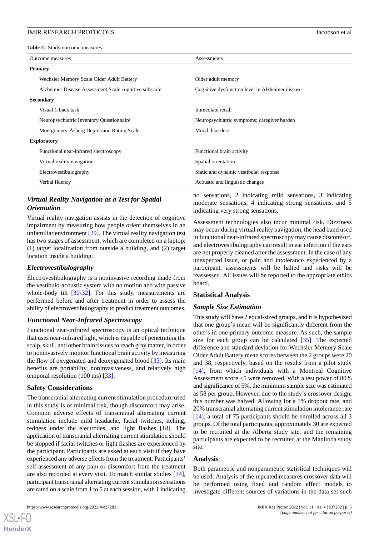<span id="page-4-0"></span>**Table 2.** Study outcome measures.

| Outcome measures                                      | Assessments                                      |  |
|-------------------------------------------------------|--------------------------------------------------|--|
| <b>Primary</b>                                        |                                                  |  |
| Wechsler Memory Scale Older Adult Battery             | Older adult memory                               |  |
| Alzheimer Disease Assessment Scale cognitive subscale | Cognitive dysfunction level in Alzheimer disease |  |
| <b>Secondary</b>                                      |                                                  |  |
| Visual 1-back task                                    | Immediate recall                                 |  |
| Neuropsychiatric Inventory Questionnaire              | Neuropsychiatric symptoms; caregiver burden      |  |
| Montgomery-Åsberg Depression Rating Scale             | Mood disorders                                   |  |
| <b>Exploratory</b>                                    |                                                  |  |
| Functional near-infrared spectroscopy                 | Functional brain activity                        |  |
| Virtual reality navigation                            | Spatial orientation                              |  |
| Electrovestibulography                                | Static and dynamic vestibular response           |  |
| Verbal fluency                                        | Acoustic and linguistic changes                  |  |

# *Virtual Reality Navigation as a Test for Spatial Orientation*

Virtual reality navigation assists in the detection of cognitive impairment by measuring how people orient themselves in an unfamiliar environment [[29\]](#page-7-11). The virtual reality navigation test has two stages of assessment, which are completed on a laptop: (1) target localization from outside a building, and (2) target location inside a building.

## *Electrovestibulography*

Electrovestibulography is a noninvasive recording made from the vestibulo-acoustic system with no motion and with passive whole-body tilt [\[30](#page-7-12)[-32](#page-7-13)]. For this study, measurements are performed before and after treatment in order to assess the ability of electrovestibulography to predict treatment outcomes.

#### *Functional Near-Infrared Spectroscopy*

Functional near-infrared spectroscopy is an optical technique that uses near-infrared light, which is capable of penetrating the scalp, skull, and other brain tissues to reach gray matter, in order to noninvasively monitor functional brain activity by measuring the flow of oxygenated and deoxygenated blood [[33\]](#page-7-14). Its main benefits are portability, noninvasiveness, and relatively high temporal resolution (100 ms) [[33\]](#page-7-14).

#### **Safety Considerations**

The transcranial alternating current stimulation procedure used in this study is of minimal risk, though discomfort may arise. Common adverse effects of transcranial alternating current stimulation include mild headache, facial twitches, itching, redness under the electrodes, and light flashes [\[18](#page-7-0)]. The application of transcranial alternating current stimulation should be stopped if facial twitches or light flashes are experienced by the participant. Participants are asked at each visit if they have experienced any adverse effects from the treatment. Participants' self-assessment of any pain or discomfort from the treatment are also recorded at every visit. To match similar studies [[34\]](#page-7-15), participant transcranial alternating current stimulation sensations are rated on a scale from 1 to 5 at each session, with 1 indicating

no sensations, 2 indicating mild sensations, 3 indicating moderate sensations, 4 indicating strong sensations, and 5 indicating very strong sensations.

Assessment technologies also incur minimal risk. Dizziness may occur during virtual reality navigation, the head band used in functional near-infrared spectroscopy may cause discomfort, and electrovestibulography can result in ear infection if the ears are not properly cleaned after the assessment. In the case of any unexpected issue, or pain and intolerance experienced by a participant, assessments will be halted and risks will be reassessed. All issues will be reported to the appropriate ethics board.

#### **Statistical Analysis**

#### *Sample Size Estimation*

This study will have 2 equal-sized groups, and it is hypothesized that one group's mean will be significantly different from the other's in one primary outcome measure. As such, the sample size for each group can be calculated  $[35]$  $[35]$ . The expected difference and standard deviation for Wechsler Memory Scale Older Adult Battery mean scores between the 2 groups were 20 and 38, respectively, based on the results from a pilot study [[14\]](#page-6-12), from which individuals with a Montreal Cognitive Assessment score <5 were removed. With a test power of 80% and significance of 5%, the minimum sample size was estimated as 58 per group. However, due to the study's crossover design, this number was halved. Allowing for a 5% dropout rate, and 20% transcranial alternating current stimulation intolerance rate [[14\]](#page-6-12), a total of 75 participants should be enrolled across all 3 groups. Of the total participants, approximately 30 are expected to be recruited at the Alberta study site, and the remaining participants are expected to be recruited at the Manitoba study site.

#### **Analysis**

Both parametric and nonparametric statistical techniques will be used. Analysis of the repeated measures crossover data will be performed using fixed and random effect models to investigate different sources of variations in the data set such

[XSL](http://www.w3.org/Style/XSL)•FO **[RenderX](http://www.renderx.com/)**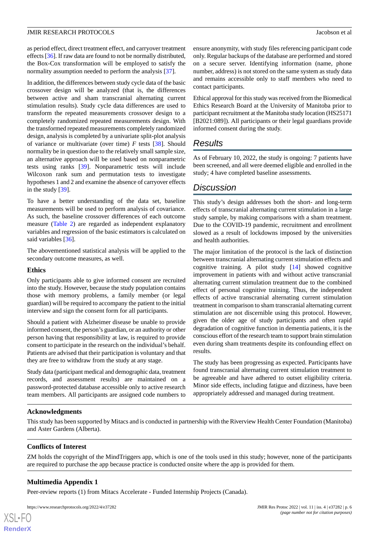as period effect, direct treatment effect, and carryover treatment effects [[36\]](#page-7-17). If raw data are found to not be normally distributed, the Box-Cox transformation will be employed to satisfy the normality assumption needed to perform the analysis [\[37](#page-7-18)].

In addition, the differences between study cycle data of the basic crossover design will be analyzed (that is, the differences between active and sham transcranial alternating current stimulation results). Study cycle data differences are used to transform the repeated measurements crossover design to a completely randomized repeated measurements design. With the transformed repeated measurements completely randomized design, analysis is completed by a univariate split-plot analysis of variance or multivariate (over time) *F* tests [\[38](#page-7-19)]. Should normality be in question due to the relatively small sample size, an alternative approach will be used based on nonparametric tests using ranks [[39\]](#page-7-20). Nonparametric tests will include Wilcoxon rank sum and permutation tests to investigate hypotheses 1 and 2 and examine the absence of carryover effects in the study [\[39](#page-7-20)].

To have a better understanding of the data set, baseline measurements will be used to perform analysis of covariance. As such, the baseline crossover differences of each outcome measure ([Table 2\)](#page-4-0) are regarded as independent explanatory variables and regression of the basic estimators is calculated on said variables [[36\]](#page-7-17).

The abovementioned statistical analysis will be applied to the secondary outcome measures, as well.

#### **Ethics**

Only participants able to give informed consent are recruited into the study. However, because the study population contains those with memory problems, a family member (or legal guardian) will be required to accompany the patient to the initial interview and sign the consent form for all participants.

Should a patient with Alzheimer disease be unable to provide informed consent, the person's guardian, or an authority or other person having that responsibility at law, is required to provide consent to participate in the research on the individual's behalf. Patients are advised that their participation is voluntary and that they are free to withdraw from the study at any stage.

Study data (participant medical and demographic data, treatment records, and assessment results) are maintained on a password-protected database accessible only to active research team members. All participants are assigned code numbers to

ensure anonymity, with study files referencing participant code only. Regular backups of the database are performed and stored on a secure server. Identifying information (name, phone number, address) is not stored on the same system as study data and remains accessible only to staff members who need to contact participants.

Ethical approval for this study was received from the Biomedical Ethics Research Board at the University of Manitoba prior to participant recruitment at the Manitoba study location (HS25171 [B2021:089]). All participants or their legal guardians provide informed consent during the study.

# *Results*

As of February 10, 2022, the study is ongoing: 7 patients have been screened, and all were deemed eligible and enrolled in the study; 4 have completed baseline assessments.

# *Discussion*

This study's design addresses both the short- and long-term effects of transcranial alternating current stimulation in a large study sample, by making comparisons with a sham treatment. Due to the COVID-19 pandemic, recruitment and enrollment slowed as a result of lockdowns imposed by the universities and health authorities.

The major limitation of the protocol is the lack of distinction between transcranial alternating current stimulation effects and cognitive training. A pilot study [[14\]](#page-6-12) showed cognitive improvement in patients with and without active transcranial alternating current stimulation treatment due to the combined effect of personal cognitive training. Thus, the independent effects of active transcranial alternating current stimulation treatment in comparison to sham transcranial alternating current stimulation are not discernible using this protocol. However, given the older age of study participants and often rapid degradation of cognitive function in dementia patients, it is the conscious effort of the research team to support brain stimulation even during sham treatments despite its confounding effect on results.

The study has been progressing as expected. Participants have found transcranial alternating current stimulation treatment to be agreeable and have adhered to outset eligibility criteria. Minor side effects, including fatigue and dizziness, have been appropriately addressed and managed during treatment.

#### **Acknowledgments**

This study has been supported by Mitacs and is conducted in partnership with the Riverview Health Center Foundation (Manitoba) and Aster Gardens (Alberta).

# **Conflicts of Interest**

ZM holds the copyright of the MindTriggers app, which is one of the tools used in this study; however, none of the participants are required to purchase the app because practice is conducted onsite where the app is provided for them.

# **Multimedia Appendix 1**

[XSL](http://www.w3.org/Style/XSL)•FO **[RenderX](http://www.renderx.com/)**

Peer-review reports (1) from Mitacs Accelerate - Funded Internship Projects (Canada).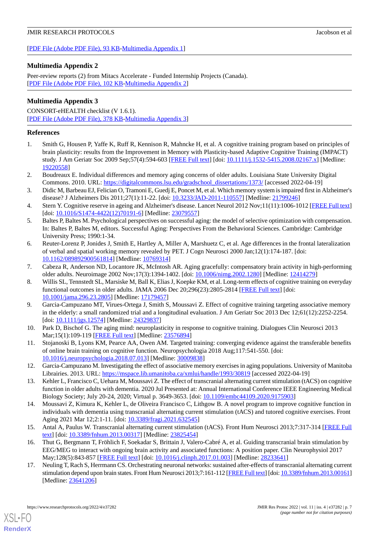[[PDF File \(Adobe PDF File\), 93 KB](https://jmir.org/api/download?alt_name=resprot_v11i4e37282_app1.pdf&filename=c3c80b1a71adc24f50ba01f3e81abc37.pdf)-[Multimedia Appendix 1\]](https://jmir.org/api/download?alt_name=resprot_v11i4e37282_app1.pdf&filename=c3c80b1a71adc24f50ba01f3e81abc37.pdf)

# **Multimedia Appendix 2**

Peer-review reports (2) from Mitacs Accelerate - Funded Internship Projects (Canada). [[PDF File \(Adobe PDF File\), 102 KB](https://jmir.org/api/download?alt_name=resprot_v11i4e37282_app2.pdf&filename=25091fe5136bcda6c95fd00533e0d4ee.pdf)-[Multimedia Appendix 2\]](https://jmir.org/api/download?alt_name=resprot_v11i4e37282_app2.pdf&filename=25091fe5136bcda6c95fd00533e0d4ee.pdf)

# **Multimedia Appendix 3**

CONSORT-eHEALTH checklist (V 1.6.1). [[PDF File \(Adobe PDF File\), 378 KB](https://jmir.org/api/download?alt_name=resprot_v11i4e37282_app3.pdf&filename=e3eaee8dcd1cccbf38e2607000fd1b91.pdf)-[Multimedia Appendix 3\]](https://jmir.org/api/download?alt_name=resprot_v11i4e37282_app3.pdf&filename=e3eaee8dcd1cccbf38e2607000fd1b91.pdf)

# <span id="page-6-0"></span>**References**

- <span id="page-6-1"></span>1. Smith G, Housen P, Yaffe K, Ruff R, Kennison R, Mahncke H, et al. A cognitive training program based on principles of brain plasticity: results from the Improvement in Memory with Plasticity-based Adaptive Cognitive Training (IMPACT) study. J Am Geriatr Soc 2009 Sep;57(4):594-603 [[FREE Full text](http://europepmc.org/abstract/MED/19220558)] [doi: [10.1111/j.1532-5415.2008.02167.x\]](http://dx.doi.org/10.1111/j.1532-5415.2008.02167.x) [Medline: [19220558](http://www.ncbi.nlm.nih.gov/entrez/query.fcgi?cmd=Retrieve&db=PubMed&list_uids=19220558&dopt=Abstract)]
- <span id="page-6-2"></span>2. Boudreaux E. Individual differences and memory aging concerns of older adults. Louisiana State University Digital Commons. 2010. URL: [https://digitalcommons.lsu.edu/gradschool\\_dissertations/1373/](https://digitalcommons.lsu.edu/gradschool_dissertations/1373/) [accessed 2022-04-19]
- <span id="page-6-3"></span>3. Didic M, Barbeau EJ, Felician O, Tramoni E, Guedj E, Poncet M, et al. Which memory system is impaired first in Alzheimer's disease? J Alzheimers Dis 2011;27(1):11-22. [doi: [10.3233/JAD-2011-110557](http://dx.doi.org/10.3233/JAD-2011-110557)] [Medline: [21799246](http://www.ncbi.nlm.nih.gov/entrez/query.fcgi?cmd=Retrieve&db=PubMed&list_uids=21799246&dopt=Abstract)]
- <span id="page-6-4"></span>4. Stern Y. Cognitive reserve in ageing and Alzheimer's disease. Lancet Neurol 2012 Nov;11(11):1006-1012 [[FREE Full text](http://europepmc.org/abstract/MED/23079557)] [doi: [10.1016/S1474-4422\(12\)70191-6](http://dx.doi.org/10.1016/S1474-4422(12)70191-6)] [Medline: [23079557\]](http://www.ncbi.nlm.nih.gov/entrez/query.fcgi?cmd=Retrieve&db=PubMed&list_uids=23079557&dopt=Abstract)
- <span id="page-6-5"></span>5. Baltes P, Baltes M. Psychological perspectives on successful aging: the model of selective optimization with compensation. In: Baltes P, Baltes M, editors. Successful Aging: Perspectives From the Behavioral Sciences. Cambridge: Cambridge University Press; 1990:1-34.
- <span id="page-6-7"></span><span id="page-6-6"></span>6. Reuter-Lorenz P, Jonides J, Smith E, Hartley A, Miller A, Marshuetz C, et al. Age differences in the frontal lateralization of verbal and spatial working memory revealed by PET. J Cogn Neurosci 2000 Jan;12(1):174-187. [doi: [10.1162/089892900561814\]](http://dx.doi.org/10.1162/089892900561814) [Medline: [10769314\]](http://www.ncbi.nlm.nih.gov/entrez/query.fcgi?cmd=Retrieve&db=PubMed&list_uids=10769314&dopt=Abstract)
- 7. Cabeza R, Anderson ND, Locantore JK, McIntosh AR. Aging gracefully: compensatory brain activity in high-performing older adults. Neuroimage 2002 Nov;17(3):1394-1402. [doi: [10.1006/nimg.2002.1280\]](http://dx.doi.org/10.1006/nimg.2002.1280) [Medline: [12414279\]](http://www.ncbi.nlm.nih.gov/entrez/query.fcgi?cmd=Retrieve&db=PubMed&list_uids=12414279&dopt=Abstract)
- <span id="page-6-10"></span>8. Willis SL, Tennstedt SL, Marsiske M, Ball K, Elias J, Koepke KM, et al. Long-term effects of cognitive training on everyday functional outcomes in older adults. JAMA 2006 Dec 20;296(23):2805-2814 [\[FREE Full text\]](http://europepmc.org/abstract/MED/17179457) [doi: [10.1001/jama.296.23.2805\]](http://dx.doi.org/10.1001/jama.296.23.2805) [Medline: [17179457\]](http://www.ncbi.nlm.nih.gov/entrez/query.fcgi?cmd=Retrieve&db=PubMed&list_uids=17179457&dopt=Abstract)
- <span id="page-6-9"></span><span id="page-6-8"></span>9. Garcia-Campuzano MT, Virues-Ortega J, Smith S, Moussavi Z. Effect of cognitive training targeting associative memory in the elderly: a small randomized trial and a longitudinal evaluation. J Am Geriatr Soc 2013 Dec 12;61(12):2252-2254. [doi: [10.1111/jgs.12574](http://dx.doi.org/10.1111/jgs.12574)] [Medline: [24329837](http://www.ncbi.nlm.nih.gov/entrez/query.fcgi?cmd=Retrieve&db=PubMed&list_uids=24329837&dopt=Abstract)]
- <span id="page-6-11"></span>10. Park D, Bischof G. The aging mind: neuroplasticity in response to cognitive training. Dialogues Clin Neurosci 2013 Mar;15(1):109-119 [[FREE Full text\]](http://europepmc.org/abstract/MED/23576894) [Medline: [23576894\]](http://www.ncbi.nlm.nih.gov/entrez/query.fcgi?cmd=Retrieve&db=PubMed&list_uids=23576894&dopt=Abstract)
- 11. Stojanoski B, Lyons KM, Pearce AA, Owen AM. Targeted training: converging evidence against the transferable benefits of online brain training on cognitive function. Neuropsychologia 2018 Aug;117:541-550. [doi: [10.1016/j.neuropsychologia.2018.07.013\]](http://dx.doi.org/10.1016/j.neuropsychologia.2018.07.013) [Medline: [30009838](http://www.ncbi.nlm.nih.gov/entrez/query.fcgi?cmd=Retrieve&db=PubMed&list_uids=30009838&dopt=Abstract)]
- <span id="page-6-12"></span>12. Garcia-Campuzano M. Investigating the effect of associative memory exercises in aging populations. University of Manitoba Librairies. 2013. URL: <https://mspace.lib.umanitoba.ca/xmlui/handle/1993/30819> [accessed 2022-04-19]
- <span id="page-6-13"></span>13. Kehler L, Francisco C, Uehara M, Moussavi Z. The effect of transcranial alternating current stimulation (tACS) on cognitive function in older adults with dementia. 2020 Jul Presented at: Annual International Conference IEEE Engineering Medical Biology Society; July 20-24, 2020; Virtual p. 3649-3653. [doi: [10.1109/embc44109.2020.9175903](http://dx.doi.org/10.1109/embc44109.2020.9175903)]
- <span id="page-6-14"></span>14. Moussavi Z, Kimura K, Kehler L, de Oliveira Francisco C, Lithgow B. A novel program to improve cognitive function in individuals with dementia using transcranial alternating current stimulation (tACS) and tutored cognitive exercises. Front Aging 2021 Mar 12;2:1-11. [doi: [10.3389/fragi.2021.632545](http://dx.doi.org/10.3389/fragi.2021.632545)]
- <span id="page-6-15"></span>15. Antal A, Paulus W. Transcranial alternating current stimulation (tACS). Front Hum Neurosci 2013;7:317-314 [[FREE Full](https://doi.org/10.3389/fnhum.2013.00317) [text](https://doi.org/10.3389/fnhum.2013.00317)] [doi: [10.3389/fnhum.2013.00317\]](http://dx.doi.org/10.3389/fnhum.2013.00317) [Medline: [23825454\]](http://www.ncbi.nlm.nih.gov/entrez/query.fcgi?cmd=Retrieve&db=PubMed&list_uids=23825454&dopt=Abstract)
- 16. Thut G, Bergmann T, Fröhlich F, Soekadar S, Brittain J, Valero-Cabré A, et al. Guiding transcranial brain stimulation by EEG/MEG to interact with ongoing brain activity and associated functions: A position paper. Clin Neurophysiol 2017 May;128(5):843-857 [\[FREE Full text\]](http://europepmc.org/abstract/MED/28233641) [doi: [10.1016/j.clinph.2017.01.003\]](http://dx.doi.org/10.1016/j.clinph.2017.01.003) [Medline: [28233641\]](http://www.ncbi.nlm.nih.gov/entrez/query.fcgi?cmd=Retrieve&db=PubMed&list_uids=28233641&dopt=Abstract)
- 17. Neuling T, Rach S, Herrmann CS. Orchestrating neuronal networks: sustained after-effects of transcranial alternating current stimulation depend upon brain states. Front Hum Neurosci 2013;7:161-112 [[FREE Full text](https://doi.org/10.3389/fnhum.2013.00161)] [doi: [10.3389/fnhum.2013.00161\]](http://dx.doi.org/10.3389/fnhum.2013.00161) [Medline: [23641206](http://www.ncbi.nlm.nih.gov/entrez/query.fcgi?cmd=Retrieve&db=PubMed&list_uids=23641206&dopt=Abstract)]

[XSL](http://www.w3.org/Style/XSL)•FO **[RenderX](http://www.renderx.com/)**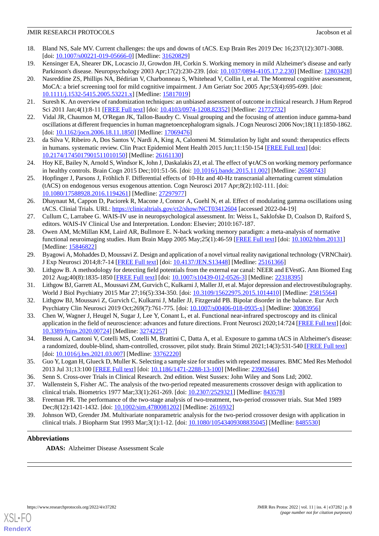- <span id="page-7-0"></span>18. Bland NS, Sale MV. Current challenges: the ups and downs of tACS. Exp Brain Res 2019 Dec 16;237(12):3071-3088. [doi: [10.1007/s00221-019-05666-0](http://dx.doi.org/10.1007/s00221-019-05666-0)] [Medline: [31620829\]](http://www.ncbi.nlm.nih.gov/entrez/query.fcgi?cmd=Retrieve&db=PubMed&list_uids=31620829&dopt=Abstract)
- <span id="page-7-2"></span><span id="page-7-1"></span>19. Kensinger EA, Shearer DK, Locascio JJ, Growdon JH, Corkin S. Working memory in mild Alzheimer's disease and early Parkinson's disease. Neuropsychology 2003 Apr;17(2):230-239. [doi: [10.1037/0894-4105.17.2.230](http://dx.doi.org/10.1037/0894-4105.17.2.230)] [Medline: [12803428](http://www.ncbi.nlm.nih.gov/entrez/query.fcgi?cmd=Retrieve&db=PubMed&list_uids=12803428&dopt=Abstract)]
- 20. Nasreddine ZS, Phillips NA, Bédirian V, Charbonneau S, Whitehead V, Collin I, et al. The Montreal cognitive assessment, MoCA: a brief screening tool for mild cognitive impairment. J Am Geriatr Soc 2005 Apr;53(4):695-699. [doi: [10.1111/j.1532-5415.2005.53221.x\]](http://dx.doi.org/10.1111/j.1532-5415.2005.53221.x) [Medline: [15817019\]](http://www.ncbi.nlm.nih.gov/entrez/query.fcgi?cmd=Retrieve&db=PubMed&list_uids=15817019&dopt=Abstract)
- <span id="page-7-4"></span><span id="page-7-3"></span>21. Suresh K. An overview of randomization techniques: an unbiased assessment of outcome in clinical research. J Hum Reprod Sci 2011 Jan;4(1):8-11 [\[FREE Full text](http://www.jhrsonline.org/article.asp?issn=0974-1208;year=2011;volume=4;issue=1;spage=8;epage=11;aulast=Suresh)] [doi: [10.4103/0974-1208.82352\]](http://dx.doi.org/10.4103/0974-1208.82352) [Medline: [21772732\]](http://www.ncbi.nlm.nih.gov/entrez/query.fcgi?cmd=Retrieve&db=PubMed&list_uids=21772732&dopt=Abstract)
- <span id="page-7-5"></span>22. Vidal JR, Chaumon M, O'Regan JK, Tallon-Baudry C. Visual grouping and the focusing of attention induce gamma-band oscillations at different frequencies in human magnetoencephalogram signals. J Cogn Neurosci 2006 Nov;18(11):1850-1862. [doi: [10.1162/jocn.2006.18.11.1850](http://dx.doi.org/10.1162/jocn.2006.18.11.1850)] [Medline: [17069476](http://www.ncbi.nlm.nih.gov/entrez/query.fcgi?cmd=Retrieve&db=PubMed&list_uids=17069476&dopt=Abstract)]
- <span id="page-7-6"></span>23. da Silva V, Ribeiro A, Dos Santos V, Nardi A, King A, Calomeni M. Stimulation by light and sound: therapeutics effects in humans. systematic review. Clin Pract Epidemiol Ment Health 2015 Jun;11:150-154 [[FREE Full text\]](http://europepmc.org/abstract/MED/26161130) [doi: [10.2174/1745017901511010150\]](http://dx.doi.org/10.2174/1745017901511010150) [Medline: [26161130\]](http://www.ncbi.nlm.nih.gov/entrez/query.fcgi?cmd=Retrieve&db=PubMed&list_uids=26161130&dopt=Abstract)
- <span id="page-7-7"></span>24. Hoy KE, Bailey N, Arnold S, Windsor K, John J, Daskalakis ZJ, et al. The effect of γ-tACS on working memory performance in healthy controls. Brain Cogn 2015 Dec;101:51-56. [doi: [10.1016/j.bandc.2015.11.002\]](http://dx.doi.org/10.1016/j.bandc.2015.11.002) [Medline: [26580743](http://www.ncbi.nlm.nih.gov/entrez/query.fcgi?cmd=Retrieve&db=PubMed&list_uids=26580743&dopt=Abstract)]
- <span id="page-7-8"></span>25. Hopfinger J, Parsons J, Fröhlich F. Differential effects of 10-Hz and 40-Hz transcranial alternating current stimulation (tACS) on endogenous versus exogenous attention. Cogn Neurosci 2017 Apr;8(2):102-111. [doi: [10.1080/17588928.2016.1194261\]](http://dx.doi.org/10.1080/17588928.2016.1194261) [Medline: [27297977\]](http://www.ncbi.nlm.nih.gov/entrez/query.fcgi?cmd=Retrieve&db=PubMed&list_uids=27297977&dopt=Abstract)
- <span id="page-7-9"></span>26. Dhaynaut M, Cappon D, Paciorek R, Macone J, Connor A, Guehl N, et al. Effect of modulating gamma oscillations using tACS. Clinial Trials. URL:<https://clinicaltrials.gov/ct2/show/NCT03412604> [accessed 2022-04-19]
- <span id="page-7-10"></span>27. Cullum C, Larrabee G. WAIS-IV use in neuropsychological assessment. In: Weiss L, Saklofske D, Coalson D, Raiford S, editors. WAIS-IV Clinical Use and Interpretation. London: Elsevier; 2010:167-187.
- <span id="page-7-12"></span><span id="page-7-11"></span>28. Owen AM, McMillan KM, Laird AR, Bullmore E. N-back working memory paradigm: a meta-analysis of normative functional neuroimaging studies. Hum Brain Mapp 2005 May;25(1):46-59 [[FREE Full text](http://europepmc.org/abstract/MED/15846822)] [doi: [10.1002/hbm.20131\]](http://dx.doi.org/10.1002/hbm.20131) [Medline: [15846822](http://www.ncbi.nlm.nih.gov/entrez/query.fcgi?cmd=Retrieve&db=PubMed&list_uids=15846822&dopt=Abstract)]
- 29. Byagowi A, Mohaddes D, Moussavi Z. Design and application of a novel virtual reality navigational technology (VRNChair). J Exp Neurosci 2014;8:7-14 [[FREE Full text](https://journals.sagepub.com/doi/10.4137/JEN.S13448?url_ver=Z39.88-2003&rfr_id=ori:rid:crossref.org&rfr_dat=cr_pub%3dpubmed)] [doi: [10.4137/JEN.S13448](http://dx.doi.org/10.4137/JEN.S13448)] [Medline: [25161366\]](http://www.ncbi.nlm.nih.gov/entrez/query.fcgi?cmd=Retrieve&db=PubMed&list_uids=25161366&dopt=Abstract)
- <span id="page-7-13"></span>30. Lithgow B. A methodology for detecting field potentials from the external ear canal: NEER and EVestG. Ann Biomed Eng 2012 Aug;40(8):1835-1850 [[FREE Full text](http://europepmc.org/abstract/MED/22318395)] [doi: [10.1007/s10439-012-0526-3](http://dx.doi.org/10.1007/s10439-012-0526-3)] [Medline: [22318395](http://www.ncbi.nlm.nih.gov/entrez/query.fcgi?cmd=Retrieve&db=PubMed&list_uids=22318395&dopt=Abstract)]
- <span id="page-7-14"></span>31. Lithgow BJ, Garrett AL, Moussavi ZM, Gurvich C, Kulkarni J, Maller JJ, et al. Major depression and electrovestibulography. World J Biol Psychiatry 2015 Mar 27;16(5):334-350. [doi: [10.3109/15622975.2015.1014410](http://dx.doi.org/10.3109/15622975.2015.1014410)] [Medline: [25815564](http://www.ncbi.nlm.nih.gov/entrez/query.fcgi?cmd=Retrieve&db=PubMed&list_uids=25815564&dopt=Abstract)]
- <span id="page-7-15"></span>32. Lithgow BJ, Moussavi Z, Gurvich C, Kulkarni J, Maller JJ, Fitzgerald PB. Bipolar disorder in the balance. Eur Arch Psychiatry Clin Neurosci 2019 Oct;269(7):761-775. [doi: [10.1007/s00406-018-0935-x\]](http://dx.doi.org/10.1007/s00406-018-0935-x) [Medline: [30083956](http://www.ncbi.nlm.nih.gov/entrez/query.fcgi?cmd=Retrieve&db=PubMed&list_uids=30083956&dopt=Abstract)]
- <span id="page-7-16"></span>33. Chen W, Wagner J, Heugel N, Sugar J, Lee Y, Conant L, et al. Functional near-infrared spectroscopy and its clinical application in the field of neuroscience: advances and future directions. Front Neurosci 2020;14:724 [[FREE Full text](https://doi.org/10.3389/fnins.2020.00724)] [doi: [10.3389/fnins.2020.00724\]](http://dx.doi.org/10.3389/fnins.2020.00724) [Medline: [32742257\]](http://www.ncbi.nlm.nih.gov/entrez/query.fcgi?cmd=Retrieve&db=PubMed&list_uids=32742257&dopt=Abstract)
- <span id="page-7-18"></span><span id="page-7-17"></span>34. Benussi A, Cantoni V, Cotelli MS, Cotelli M, Brattini C, Datta A, et al. Exposure to gamma tACS in Alzheimer's disease: a randomized, double-blind, sham-controlled, crossover, pilot study. Brain Stimul 2021;14(3):531-540 [[FREE Full text\]](https://linkinghub.elsevier.com/retrieve/pii/S1935-861X(21)00058-9) [doi: [10.1016/j.brs.2021.03.007](http://dx.doi.org/10.1016/j.brs.2021.03.007)] [Medline: [33762220\]](http://www.ncbi.nlm.nih.gov/entrez/query.fcgi?cmd=Retrieve&db=PubMed&list_uids=33762220&dopt=Abstract)
- <span id="page-7-19"></span>35. Guo Y, Logan H, Glueck D, Muller K. Selecting a sample size for studies with repeated measures. BMC Med Res Methodol 2013 Jul 31;13:100 [[FREE Full text](https://bmcmedresmethodol.biomedcentral.com/articles/10.1186/1471-2288-13-100)] [doi: [10.1186/1471-2288-13-100\]](http://dx.doi.org/10.1186/1471-2288-13-100) [Medline: [23902644](http://www.ncbi.nlm.nih.gov/entrez/query.fcgi?cmd=Retrieve&db=PubMed&list_uids=23902644&dopt=Abstract)]
- <span id="page-7-20"></span>36. Senn S. Cross-over Trials in Clinical Research. 2nd edition. West Sussex: John Wiley and Sons Ltd; 2002.
- 37. Wallenstein S, Fisher AC. The analysis of the two-period repeated measurements crossover design with application to clinical trials. Biometrics 1977 Mar;33(1):261-269. [doi: [10.2307/2529321](http://dx.doi.org/10.2307/2529321)] [Medline: [843578](http://www.ncbi.nlm.nih.gov/entrez/query.fcgi?cmd=Retrieve&db=PubMed&list_uids=843578&dopt=Abstract)]
- 38. Freeman PR. The performance of the two-stage analysis of two-treatment, two-period crossover trials. Stat Med 1989 Dec;8(12):1421-1432. [doi: [10.1002/sim.4780081202\]](http://dx.doi.org/10.1002/sim.4780081202) [Medline: [2616932\]](http://www.ncbi.nlm.nih.gov/entrez/query.fcgi?cmd=Retrieve&db=PubMed&list_uids=2616932&dopt=Abstract)
- 39. Johnson WD, Grender JM. Multivariate nonparametric analysis for the two-period crossover design with application in clinical trials. J Biopharm Stat 1993 Mar;3(1):1-12. [doi: [10.1080/10543409308835045\]](http://dx.doi.org/10.1080/10543409308835045) [Medline: [8485530\]](http://www.ncbi.nlm.nih.gov/entrez/query.fcgi?cmd=Retrieve&db=PubMed&list_uids=8485530&dopt=Abstract)

# **Abbreviations**

**ADAS:** Alzheimer Disease Assessment Scale